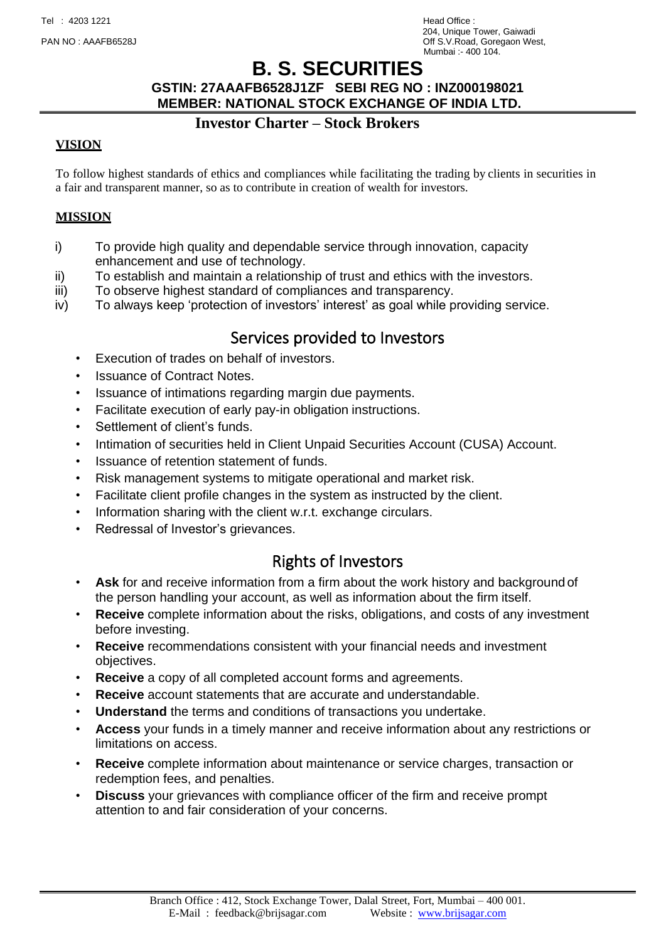204, Unique Tower, Gaiwadi PAN NO : AAAFB6528J Off S.V.Road, Goregaon West, Mumbai :- 400 104.

# **B. S. SECURITIES**

#### **GSTIN: 27AAAFB6528J1ZF SEBI REG NO : INZ000198021 MEMBER: NATIONAL STOCK EXCHANGE OF INDIA LTD.**

### **Investor Charter – Stock Brokers**

### **VISION**

To follow highest standards of ethics and compliances while facilitating the trading by clients in securities in a fair and transparent manner, so as to contribute in creation of wealth for investors.

### **MISSION**

- i) To provide high quality and dependable service through innovation, capacity enhancement and use of technology.
- ii) To establish and maintain a relationship of trust and ethics with the investors.
- iii) To observe highest standard of compliances and transparency.
- iv) To always keep 'protection of investors' interest' as goal while providing service.

### Services provided to Investors

- Execution of trades on behalf of investors.
- Issuance of Contract Notes.
- Issuance of intimations regarding margin due payments.
- Facilitate execution of early pay-in obligation instructions.
- Settlement of client's funds.
- Intimation of securities held in Client Unpaid Securities Account (CUSA) Account.
- Issuance of retention statement of funds.
- Risk management systems to mitigate operational and market risk.
- Facilitate client profile changes in the system as instructed by the client.
- Information sharing with the client w.r.t. exchange circulars.
- Redressal of Investor's grievances.

### Rights of Investors

- **Ask** for and receive information from a firm about the work history and background of the person handling your account, as well as information about the firm itself.
- **Receive** complete information about the risks, obligations, and costs of any investment before investing.
- **Receive** recommendations consistent with your financial needs and investment objectives.
- **Receive** a copy of all completed account forms and agreements.
- **Receive** account statements that are accurate and understandable.
- **Understand** the terms and conditions of transactions you undertake.
- **Access** your funds in a timely manner and receive information about any restrictions or limitations on access.
- **Receive** complete information about maintenance or service charges, transaction or redemption fees, and penalties.
- **Discuss** your grievances with compliance officer of the firm and receive prompt attention to and fair consideration of your concerns.